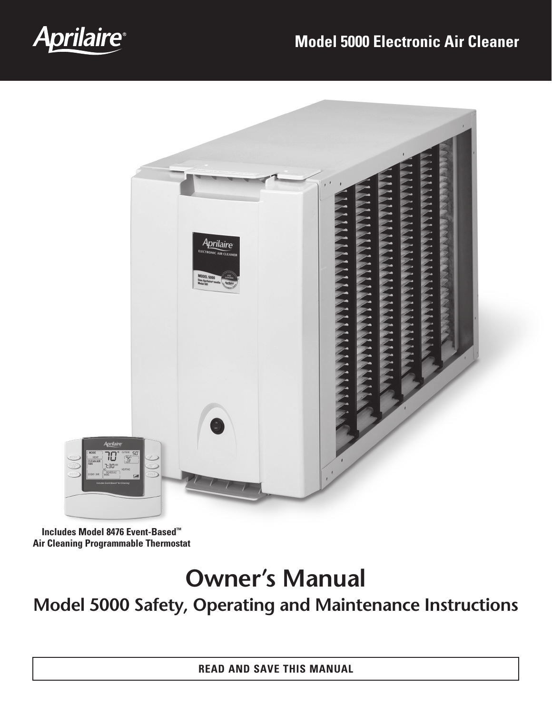

# **Model 5000 Electronic Air Cleaner**



**Includes Model 8476 Event-Based™ Air Cleaning Programmable Thermostat**

# **Owner's Manual**

**Model 5000 Safety, Operating and Maintenance Instructions**

**READ AND SAVE This Manual**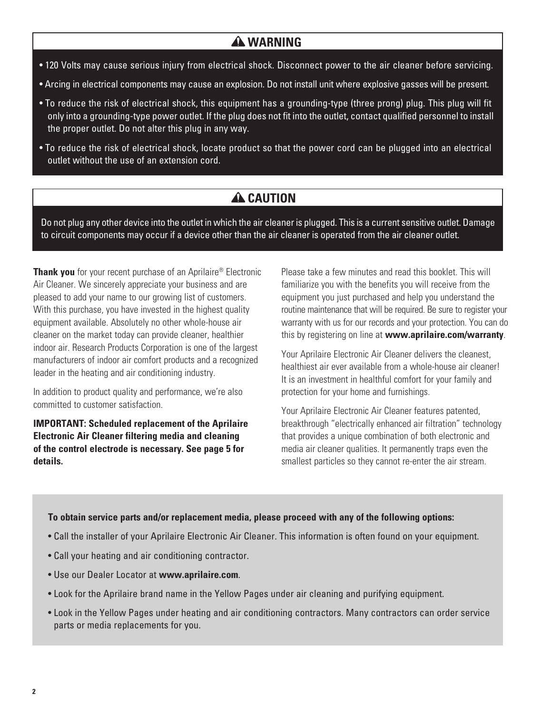### **WARNING**

- 120 Volts may cause serious injury from electrical shock. Disconnect power to the air cleaner before servicing.
- Arcing in electrical components may cause an explosion. Do not install unit where explosive gasses will be present.
- To reduce the risk of electrical shock, this equipment has a grounding-type (three prong) plug. This plug will fit only into a grounding-type power outlet. If the plug does not fit into the outlet, contact qualified personnel to install the proper outlet. Do not alter this plug in any way.
- To reduce the risk of electrical shock, locate product so that the power cord can be plugged into an electrical outlet without the use of an extension cord.

# **A** CAUTION

Do not plug any other device into the outlet in which the air cleaner is plugged. This is a current sensitive outlet. Damage to circuit components may occur if a device other than the air cleaner is operated from the air cleaner outlet.

**Thank you** for your recent purchase of an Aprilaire<sup>®</sup> Electronic Air Cleaner. We sincerely appreciate your business and are pleased to add your name to our growing list of customers. With this purchase, you have invested in the highest quality equipment available. Absolutely no other whole-house air cleaner on the market today can provide cleaner, healthier indoor air. Research Products Corporation is one of the largest manufacturers of indoor air comfort products and a recognized leader in the heating and air conditioning industry.

In addition to product quality and performance, we're also committed to customer satisfaction.

**IMPORTANT: Scheduled replacement of the Aprilaire Electronic Air Cleaner filtering media and cleaning of the control electrode is necessary. See page 5 for details.**

Please take a few minutes and read this booklet. This will familiarize you with the benefits you will receive from the equipment you just purchased and help you understand the routine maintenance that will be required. Be sure to register your warranty with us for our records and your protection. You can do this by registering on line at **www.aprilaire.com/warranty**.

Your Aprilaire Electronic Air Cleaner delivers the cleanest, healthiest air ever available from a whole-house air cleaner! It is an investment in healthful comfort for your family and protection for your home and furnishings.

Your Aprilaire Electronic Air Cleaner features patented, breakthrough "electrically enhanced air filtration" technology that provides a unique combination of both electronic and media air cleaner qualities. It permanently traps even the smallest particles so they cannot re-enter the air stream.

#### **To obtain service parts and/or replacement media, please proceed with any of the following options:**

- Call the installer of your Aprilaire Electronic Air Cleaner. This information is often found on your equipment.
- Call your heating and air conditioning contractor.
- Use our Dealer Locator at **www.aprilaire.com**.
- Look for the Aprilaire brand name in the Yellow Pages under air cleaning and purifying equipment.
- Look in the Yellow Pages under heating and air conditioning contractors. Many contractors can order service parts or media replacements for you.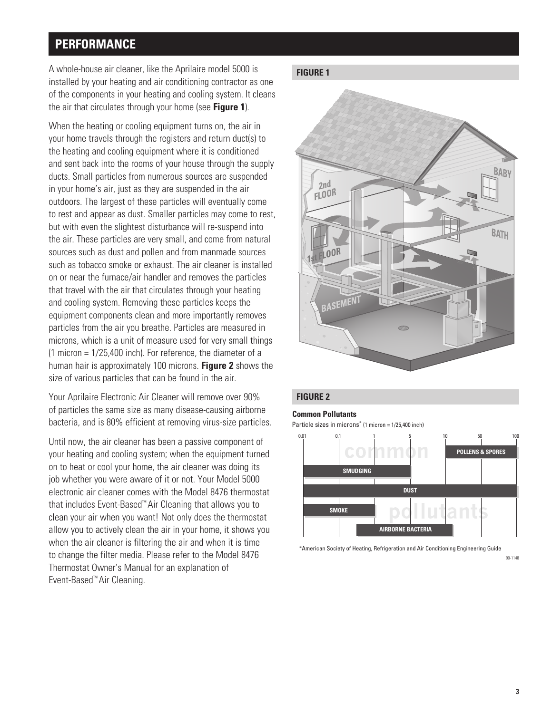# **Performance**

**Figure 1** A whole-house air cleaner, like the Aprilaire model 5000 is installed by your heating and air conditioning contractor as one of the components in your heating and cooling system. It cleans the air that circulates through your home (see **Figure 1**).

When the heating or cooling equipment turns on, the air in your home travels through the registers and return duct(s) to the heating and cooling equipment where it is conditioned and sent back into the rooms of your house through the supply ducts. Small particles from numerous sources are suspended in your home's air, just as they are suspended in the air outdoors. The largest of these particles will eventually come to rest and appear as dust. Smaller particles may come to rest, but with even the slightest disturbance will re-suspend into the air. These particles are very small, and come from natural sources such as dust and pollen and from manmade sources such as tobacco smoke or exhaust. The air cleaner is installed on or near the furnace/air handler and removes the particles that travel with the air that circulates through your heating and cooling system. Removing these particles keeps the equipment components clean and more importantly removes particles from the air you breathe. Particles are measured in microns, which is a unit of measure used for very small things (1 micron = 1/25,400 inch). For reference, the diameter of a human hair is approximately 100 microns. **Figure 2** shows the size of various particles that can be found in the air.

Your Aprilaire Electronic Air Cleaner will remove over 90% of particles the same size as many disease-causing airborne bacteria, and is 80% efficient at removing virus-size particles.

Until now, the air cleaner has been a passive component of your heating and cooling system; when the equipment turned on to heat or cool your home, the air cleaner was doing its job whether you were aware of it or not. Your Model 5000 electronic air cleaner comes with the Model 8476 thermostat that includes Event-Based™ Air Cleaning that allows you to clean your air when you want! Not only does the thermostat allow you to actively clean the air in your home, it shows you when the air cleaner is filtering the air and when it is time to change the filter media. Please refer to the Model 8476 Thermostat Owner's Manual for an explanation of Event-Based™ Air Cleaning.



#### **Figure 2**

#### **Common Pollutants**

Particle sizes in microns\* (1 micron = 1/25,400 inch)



\*American Society of Heating, Refrigeration and Air Conditioning Engineering Guide

90-1148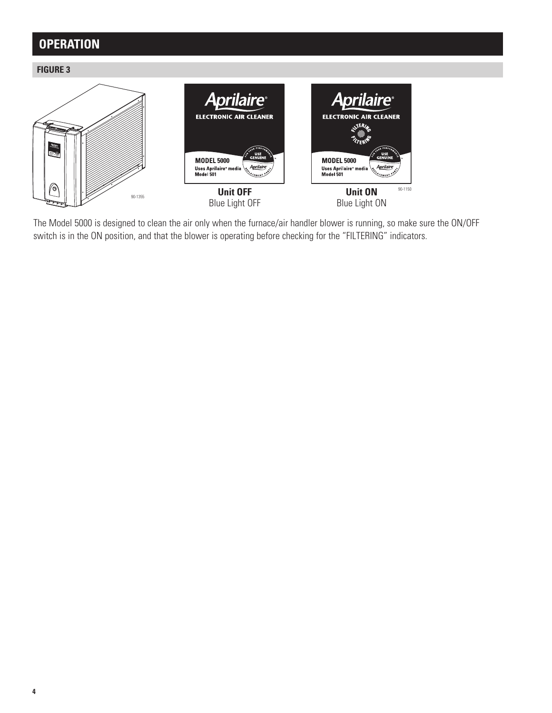# **Operation**

**Figure 3**



The Model 5000 is designed to clean the air only when the furnace/air handler blower is running, so make sure the ON/OFF switch is in the ON position, and that the blower is operating before checking for the "FILTERING" indicators.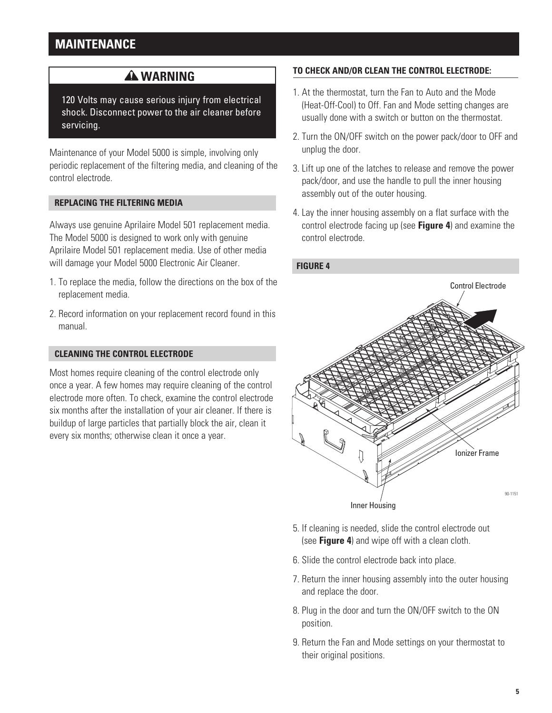## **Maintenance**

### **A WARNING**

120 Volts may cause serious injury from electrical shock. Disconnect power to the air cleaner before servicing.

Maintenance of your Model 5000 is simple, involving only periodic replacement of the filtering media, and cleaning of the control electrode.

#### **REPLACING THE FILTERING MEDIA**

Always use genuine Aprilaire Model 501 replacement media. The Model 5000 is designed to work only with genuine Aprilaire Model 501 replacement media. Use of other media will damage your Model 5000 Electronic Air Cleaner.

- 1. To replace the media, follow the directions on the box of the replacement media.
- 2. Record information on your replacement record found in this manual.

#### **CLEANING THE CONTROL ELECTRODE**

Most homes require cleaning of the control electrode only once a year. A few homes may require cleaning of the control electrode more often. To check, examine the control electrode six months after the installation of your air cleaner. If there is buildup of large particles that partially block the air, clean it every six months; otherwise clean it once a year.

### **To check and/or clean the control electrode:**

- 1. At the thermostat, turn the Fan to Auto and the Mode (Heat-Off-Cool) to Off. Fan and Mode setting changes are usually done with a switch or button on the thermostat.
- 2. Turn the ON/OFF switch on the power pack/door to OFF and unplug the door.
- 3. Lift up one of the latches to release and remove the power pack/door, and use the handle to pull the inner housing assembly out of the outer housing.
- 4. Lay the inner housing assembly on a flat surface with the control electrode facing up (see **Figure 4**) and examine the control electrode.



- 5. If cleaning is needed, slide the control electrode out (see **Figure 4**) and wipe off with a clean cloth.
- 6. Slide the control electrode back into place.
- 7. Return the inner housing assembly into the outer housing and replace the door.
- 8. Plug in the door and turn the ON/OFF switch to the ON position.
- 9. Return the Fan and Mode settings on your thermostat to their original positions.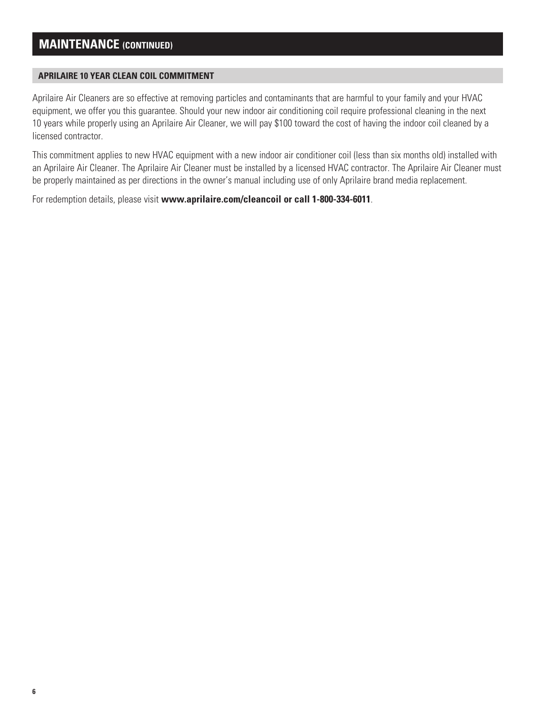### **Maintenance (continued)**

#### **Aprilaire 10 year clean coil commitment**

Aprilaire Air Cleaners are so effective at removing particles and contaminants that are harmful to your family and your HVAC equipment, we offer you this guarantee. Should your new indoor air conditioning coil require professional cleaning in the next 10 years while properly using an Aprilaire Air Cleaner, we will pay \$100 toward the cost of having the indoor coil cleaned by a licensed contractor.

This commitment applies to new HVAC equipment with a new indoor air conditioner coil (less than six months old) installed with an Aprilaire Air Cleaner. The Aprilaire Air Cleaner must be installed by a licensed HVAC contractor. The Aprilaire Air Cleaner must be properly maintained as per directions in the owner's manual including use of only Aprilaire brand media replacement.

For redemption details, please visit **www.aprilaire.com/cleancoil or call 1-800-334-6011**.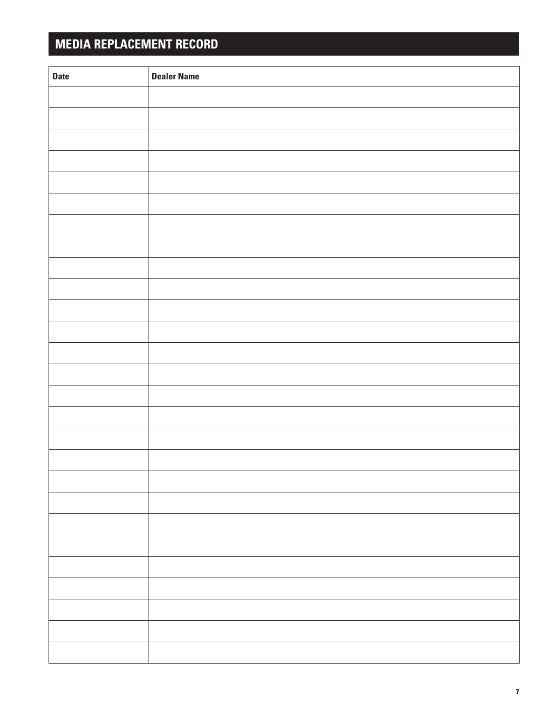# **Media Replacement Record**

| <b>Date</b> | <b>Dealer Name</b> |
|-------------|--------------------|
|             |                    |
|             |                    |
|             |                    |
|             |                    |
|             |                    |
|             |                    |
|             |                    |
|             |                    |
|             |                    |
|             |                    |
|             |                    |
|             |                    |
|             |                    |
|             |                    |
|             |                    |
|             |                    |
|             |                    |
|             |                    |
|             |                    |
|             |                    |
|             |                    |
|             |                    |
|             |                    |
|             |                    |
|             |                    |
|             |                    |
|             |                    |